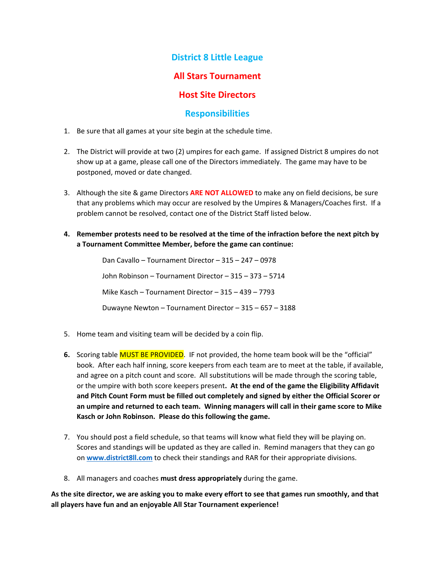## **District 8 Little League**

## **All Stars Tournament**

## **Host Site Directors**

### **Responsibilities**

- 1. Be sure that all games at your site begin at the schedule time.
- 2. The District will provide at two (2) umpires for each game. If assigned District 8 umpires do not show up at a game, please call one of the Directors immediately. The game may have to be postponed, moved or date changed.
- 3. Although the site & game Directors **ARE NOT ALLOWED** to make any on field decisions, be sure that any problems which may occur are resolved by the Umpires & Managers/Coaches first. If a problem cannot be resolved, contact one of the District Staff listed below.
- **4. Remember protests need to be resolved at the time of the infraction before the next pitch by a Tournament Committee Member, before the game can continue:**

Dan Cavallo – Tournament Director – 315 – 247 – 0978 John Robinson – Tournament Director – 315 – 373 – 5714 Mike Kasch – Tournament Director – 315 – 439 – 7793 Duwayne Newton – Tournament Director – 315 – 657 – 3188

- 5. Home team and visiting team will be decided by a coin flip.
- **6.** Scoring table MUST BE PROVIDED. IF not provided, the home team book will be the "official" book. After each half inning, score keepers from each team are to meet at the table, if available, and agree on a pitch count and score. All substitutions will be made through the scoring table, or the umpire with both score keepers present**. At the end of the game the Eligibility Affidavit and Pitch Count Form must be filled out completely and signed by either the Official Scorer or an umpire and returned to each team. Winning managers will call in their game score to Mike Kasch or John Robinson. Please do this following the game.**
- 7. You should post a field schedule, so that teams will know what field they will be playing on. Scores and standings will be updated as they are called in. Remind managers that they can go on **www.district8ll.com** to check their standings and RAR for their appropriate divisions.
- 8. All managers and coaches **must dress appropriately** during the game.

**As the site director, we are asking you to make every effort to see that games run smoothly, and that all players have fun and an enjoyable All Star Tournament experience!**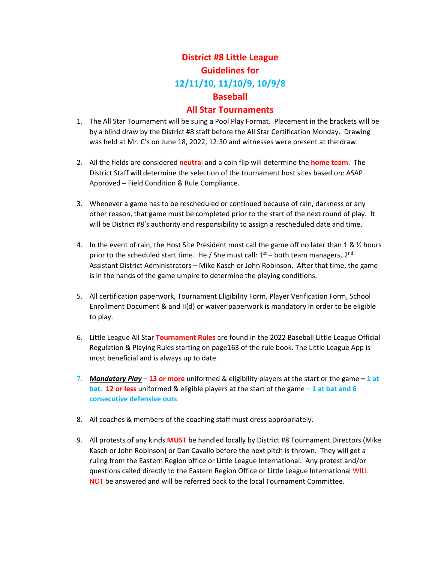# **District #8 Little League Guidelines for 12/11/10, 11/10/9, 10/9/8 Baseball**

#### **All Star Tournaments**

- 1. The All Star Tournament will be suing a Pool Play Format. Placement in the brackets will be by a blind draw by the District #8 staff before the All Star Certification Monday. Drawing was held at Mr. C's on June 18, 2022, 12:30 and witnesses were present at the draw.
- 2. All the fields are considered **neutra**l and a coin flip will determine the **home team**. The District Staff will determine the selection of the tournament host sites based on: ASAP Approved – Field Condition & Rule Compliance.
- 3. Whenever a game has to be rescheduled or continued because of rain, darkness or any other reason, that game must be completed prior to the start of the next round of play. It will be District #8's authority and responsibility to assign a rescheduled date and time.
- 4. In the event of rain, the Host Site President must call the game off no later than 1 & ½ hours prior to the scheduled start time. He / She must call:  $1<sup>st</sup>$  – both team managers,  $2<sup>nd</sup>$ Assistant District Administrators – Mike Kasch or John Robinson. After that time, the game is in the hands of the game umpire to determine the playing conditions.
- 5. All certification paperwork, Tournament Eligibility Form, Player Verification Form, School Enrollment Document & and II(d) or waiver paperwork is mandatory in order to be eligible to play.
- 6. Little League All Star **Tournament Rules** are found in the 2022 Baseball Little League Official Regulation & Playing Rules starting on page163 of the rule book. The Little League App is most beneficial and is always up to date.
- 7. *Mandatory Play* **13 or more** uniformed & eligibility players at the start or the game  **1 at bat. 12 or less** uniformed & eligible players at the start of the game – **1 at bat and 6 consecutive defensive outs**.
- 8. All coaches & members of the coaching staff must dress appropriately.
- 9. All protests of any kinds **MUST** be handled locally by District #8 Tournament Directors (Mike Kasch or John Robinson) or Dan Cavallo before the next pitch is thrown. They will get a ruling from the Eastern Region office or Little League International. Any protest and/or questions called directly to the Eastern Region Office or Little League International WILL NOT be answered and will be referred back to the local Tournament Committee.